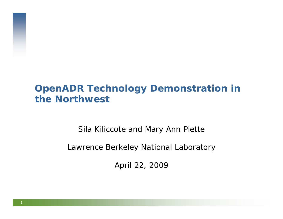# **OpenADR Technology Demonstration in the Northwest**

Sila Kiliccote and Mary Ann Piette

Lawrence Berkeley National Laboratory

April 22, 2009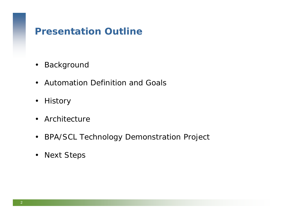# **Presentation Outline**

- $\bullet$ Background
- Automation Definition and Goals
- History
- Architecture
- $\bullet$ BPA/SCL Technology Demonstration Project
- $\bullet$ Next Steps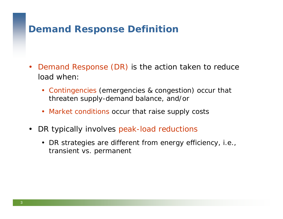# **Demand Response Definition**

- $\bullet$  Demand Response (DR) is the action taken to reduce load when:
	- Contingencies (emergencies & congestion) occur that threaten supply-demand balance, and/or
	- Market conditions occur that raise supply costs
- $\bullet$ DR typically involves peak-load reductions
	- DR strategies are different from energy efficiency, i.e., transient vs. permanent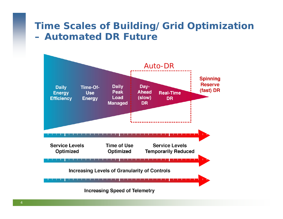# **Time Scales of Building/Grid Optimization – Automated DR Future**

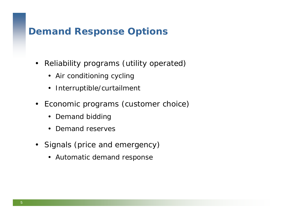# **Demand Response Options**

- $\bullet$  Reliability programs (utility operated)
	- Air conditioning cycling
	- Interruptible/curtailment
- Economic programs (customer choice)
	- Demand bidding
	- Demand reserves
- Signals (price and emergency)
	- Automatic demand response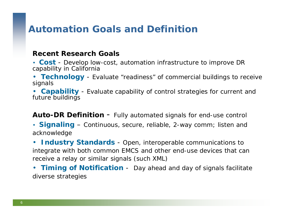# **Automation Goals and Definition**

#### **Recent Research Goals**

- **Cost** Develop low-cost, automation infrastructure to improve DR capability in California
- Technology Evaluate "readiness" of commercial buildings to receive<br>signals
- •**Capability** - Evaluate capability of control strategies for current and future buildings

**Auto-DR Definition** - Fully automated signals for end-use control

- **Signaling** Continuous, secure, reliable, 2-way comm; listen and acknowledge
- • **Industry Standards** - Open, interoperable communications to integrate with both common EMCS and other end-use devices that can receive a relay or similar signals (such XML)
- **Timing of Notification** Day ahead and day of signals facilitate diverse strategies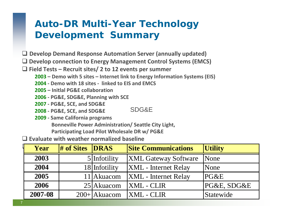# **Auto-DR Multi-Year Technology Development Summary**

- **Develop Demand Response Automation Server (annually updated)**
- **Develop connection to Energy Management Control Systems (EMCS)**
- **Field Tests – Recruit sites/ 2 to 12 events per summer**
	- **2003 – Demo with 5 sites – Internet link to Energy Information Systems (EIS)**
	- **2004 ‐ Demo with 18 sites ‐ linked to EIS and EMCS**
	- **2005 – Initlal PG&E collaboration**
	- **2006 ‐ PG&E, SDG&E, Planning with SCE**
	- **2007 ‐ PG&E, SCE, and SDG&E**
	- **2008 ‐ PG&E, SCE, and SDG&E** SDG&E
	- **2009 ‐ Same California programs Bonneville Power Administration/ Seattle City Light, Participating Load Pilot Wholesale DR w/ PG&E**

**Evaluate with weather normalized baseline**

|      | Year    | # of Sites <b>DRAS</b> |                 | <b>Site Communications</b>  | <b>Utility</b> |
|------|---------|------------------------|-----------------|-----------------------------|----------------|
|      | 2003    |                        | $5$  Infotility | <b>XML Gateway Software</b> | None           |
|      | 2004    |                        | 18 Infotility   | <b>XML</b> - Internet Relay | None           |
|      | 2005    |                        | 11 Akuacom      | <b>XML</b> - Internet Relay | PG&E           |
| 2006 |         |                        | $25$ Akuacom    | <b>XML</b> - CLIR           | PG&E, SDG&E    |
|      | 2007-08 |                        | $200+ Akuacom$  | <b>XML</b> - CLIR           | Statewide      |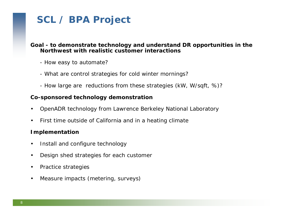# **SCL / BPA Project**

#### **Goal - to demonstrate technology and understand DR opportunities in the Northwest with realistic customer interactions**

- How easy to automate?
- What are control strategies for cold winter mornings?
- How large are reductions from these strategies (kW, W/sqft, %)?

#### **Co-sponsored technology demonstration**

- •OpenADR technology from Lawrence Berkeley National Laboratory
- •First time outside of California and in a heating climate

#### **Implementation**

- •Install and configure technology
- •Design shed strategies for each customer
- $\bullet$ *Practice* strategies
- $\bullet$ Measure impacts (metering, surveys)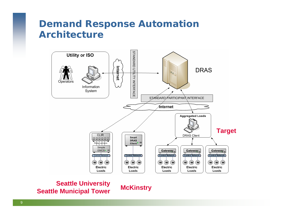## **Demand Response Automation Architecture**



**Seattle University Seattle Municipal Tower McKinstry**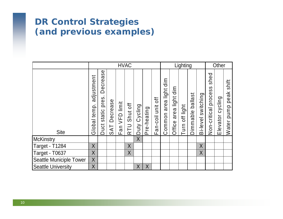## **DR Control Strategies (and previous examples)**

|                                |                            | <b>HVAC</b>                      |                                                        |               |                 |              |                 | Lighting          |                                 |                                | Other          |                     |                       |                                         |                  |                                |
|--------------------------------|----------------------------|----------------------------------|--------------------------------------------------------|---------------|-----------------|--------------|-----------------|-------------------|---------------------------------|--------------------------------|----------------|---------------------|-----------------------|-----------------------------------------|------------------|--------------------------------|
| <b>Site</b>                    | adjustment<br>Global temp. | Decrease<br>pres.<br>Duct static | Decrease<br>$\overline{A}$<br>$\overline{\mathcal{O}}$ | Fan VFD limit | Shut off<br>RTU | Duty Cycling | re-heating<br>൨ | Fan-coil unit off | imid<br>light<br>area<br>Common | dim<br>light<br>area<br>Office | Turn off light | ballast<br>Dimmable | switching<br>Bi-level | shed<br><b>S</b><br>Non-critical proces | Elevator cycling | shift<br>peak<br>pump<br>Water |
| McKinstry                      |                            |                                  |                                                        |               |                 | $\sf X$      |                 |                   |                                 |                                |                |                     |                       |                                         |                  |                                |
| Target - T1284                 | $\sf X$                    |                                  |                                                        |               | X               |              |                 |                   |                                 |                                |                |                     | $\sf X$               |                                         |                  |                                |
| Target - T0637                 | $\sf X$                    |                                  |                                                        |               | $\sf X$         |              |                 |                   |                                 |                                |                |                     | $\sf X$               |                                         |                  |                                |
| <b>Seattle Municiple Tower</b> | $\sf X$                    |                                  |                                                        |               |                 |              |                 |                   |                                 |                                |                |                     |                       |                                         |                  |                                |
| <b>Seattle University</b>      | $\sf X$                    |                                  |                                                        |               |                 | X            | $\sf X$         |                   |                                 |                                |                |                     |                       |                                         |                  |                                |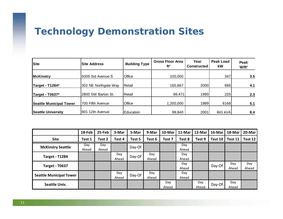# **Technology Demonstration Sites**

| <b>Site</b>                    | <b>Site Address</b>  | <b>Building Type</b> | <b>Gross Floor Area</b><br>ft <sup>2</sup> | Year<br><b>Constructed</b> | Peak Load<br>kW | Peak<br>W/ft <sup>2</sup> |
|--------------------------------|----------------------|----------------------|--------------------------------------------|----------------------------|-----------------|---------------------------|
| <b>McKinstry</b>               | 5005 3rd Avenue S    | Office               | 100,000                                    |                            | 347             | 3.5                       |
| Target - T1284*                | 302 NE Northgate Way | Retail               | 165,667                                    | 2000                       | 685             | 4.1                       |
| Target - T0637*                | 2800 SW Barton St.   | Retail               | 99,471                                     | 1990                       | 225             | 2.3                       |
| <b>Seattle Municipal Tower</b> | 700 Fifth Avenue     | Office               | 1,200,000                                  | 1989                       | 6168            | 5.1                       |
| <b>Seattle University</b>      | 12th Avenue<br>901   | Education            | 99,840                                     | 2001                       | 841 kVA         | 8.4                       |

|                                | 18-Feb | 25-Feb | 3-Mar  | 5-Mar  | 9-Mar  | 10-Mar | 11-Mar | 12-Mar | 16-Mar  | 18-Mar  | 20-Mar  |
|--------------------------------|--------|--------|--------|--------|--------|--------|--------|--------|---------|---------|---------|
| <b>Site</b>                    | Test 1 | Test 2 | Fest 4 | Test 5 | Test 6 | Test 7 | Test 8 | Test 9 | Test 10 | Test 11 | Test 12 |
| <b>McKinstry Seattle</b>       | Day    | Day    |        | Day-Of |        |        | Day    |        |         |         |         |
|                                | Ahead  | Ahead  |        |        |        |        | Ahead  |        |         |         |         |
| <b>Target - T1284</b>          |        |        | Dav    | Day-Of | Day    |        | Day    |        |         |         |         |
|                                |        |        | Ahead  |        | Ahead  |        | Ahead  |        |         |         |         |
| <b>Target - T0637</b>          |        |        |        |        |        |        | Day    |        | Day-Of  | Day     | Day     |
|                                |        |        |        |        |        |        | Ahead  |        |         | Ahead   | Ahead   |
|                                |        |        | Day    |        | Day    |        | Day    |        |         |         |         |
| <b>Seattle Municipal Tower</b> |        |        | Ahead  | Day-Of | Ahead  |        | Ahead  |        |         |         |         |
|                                |        |        |        |        |        | Day    |        | Day    |         | Day     |         |
| <b>Seattle Univ.</b>           |        |        |        |        |        | Ahead  |        | Ahead  | Day-Of  | Ahead   |         |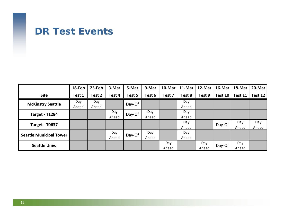## **DR Test Events**

|                                | 18-Feb | 25-Feb | 3-Mar  | 5-Mar  | 9-Mar  | 10-Mar | 11-Mar | 12-Mar | 16-Mar  | 18-Mar  | 20-Mar  |
|--------------------------------|--------|--------|--------|--------|--------|--------|--------|--------|---------|---------|---------|
| <b>Site</b>                    | Test 1 | Test 2 | Test 4 | Test 5 | Test 6 | Test 7 | Test 8 | Test 9 | Test 10 | Test 11 | Test 12 |
| <b>McKinstry Seattle</b>       | Day    | Day    |        | Day-Of |        |        | Day    |        |         |         |         |
|                                | Ahead  | Ahead  |        |        |        |        | Ahead  |        |         |         |         |
| <b>Target - T1284</b>          |        |        | Day    | Day-Of | Day    |        | Day    |        |         |         |         |
|                                |        |        | Ahead  |        | Ahead  |        | Ahead  |        |         |         |         |
|                                |        |        |        |        |        |        | Day    |        | Day-Of  | Day     | Day     |
| <b>Target - T0637</b>          |        |        |        |        |        |        | Ahead  |        |         | Ahead   | Ahead   |
|                                |        |        | Day    |        | Day    |        | Day    |        |         |         |         |
| <b>Seattle Municipal Tower</b> |        |        | Ahead  | Day-Of | Ahead  |        | Ahead  |        |         |         |         |
|                                |        |        |        |        |        | Day    |        | Day    |         | Day     |         |
| <b>Seattle Univ.</b>           |        |        |        |        |        | Ahead  |        | Ahead  | Day-Of  | Ahead   |         |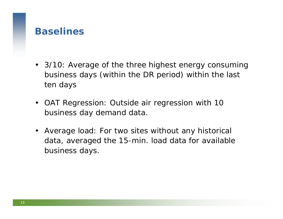#### **Baselines**

- 3/10: Average of the three highest energy consuming business days (within the DR period) within the last ten days
- OAT Regression: Outside air regression with 10 business day demand data.
- Average load: For two sites without any historical data, averaged the 15-min. load data for available business days.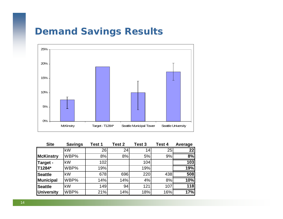# **Demand Savings Results**



| <b>Site</b>       | <b>Savings</b> | Test 1 | Test 2 | <b>Test 3</b> | Test 4 | Average |
|-------------------|----------------|--------|--------|---------------|--------|---------|
|                   | kW             | 26     | 24     | 14            | 25     | 22      |
| <b>McKinstry</b>  | WBP%           | 8%     | 8%     | 5%            | 9%     | 8%      |
| Target -          | kW             | 102    |        | 104           |        | 103     |
| T1284*            | WBP%           | 19%    |        | 19%           |        | 19%     |
| <b>Seattle</b>    | kW             | 678    | 696    | 220           | 438    | 508     |
| <b>Municipal</b>  | WBP%           | 14%    | 14%    | 4%            | 8%     | 10%     |
| <b>Seattle</b>    | kW             | 149    | 94     | 121           | 107    | 118     |
| <b>University</b> | WBP%           | 21%    | 14%    | 18%           | 16%    | 17%     |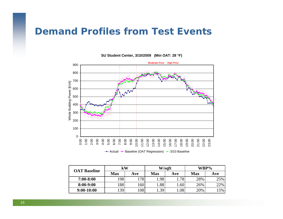

**SU Student Center, 3/10/2009 (Min OAT: 28 °F)**

Actual <del>P B</del>aseline (OAT Regression) → 3/10 Baseline

| <b>OAT Baseline</b> | kW         |      |      | W/sqft |     | WBP% |
|---------------------|------------|------|------|--------|-----|------|
|                     | <b>Max</b> | Ave  | Max  | Ave    | Max | Ave  |
| $7:00 - 8:00$       | 198        | 178  | l.98 | .78    | 28% | 25%  |
| $8:00-9:00$         | 88         | 1601 | l.88 | .60    | 26% | 22%  |
| $9:00-10:00$        | 39         | 108  | .39  | .08    | 20% | 15%  |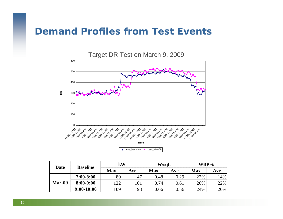

 $\leftarrow$  Ave baseline  $\leftarrow$  test Mar-09

| Date   | <b>Baseline</b> | $\mathbf{k}$ W |     | W/sqft     |      | WBP%       |     |  |
|--------|-----------------|----------------|-----|------------|------|------------|-----|--|
|        |                 | <b>Max</b>     | Ave | <b>Max</b> | Ave  | <b>Max</b> | Ave |  |
|        | $7:00 - 8:00$   | 80             | 47  | 0.48       | 0.29 | 22%        | 14% |  |
| Mar-09 | $8:00-9:00$     | ററ             | 101 | 0.74       | 0.61 | 26%        | 22% |  |
|        | $9:00-10:00$    | .09            | 93  | 0.66       | 0.56 | 24%        | 20% |  |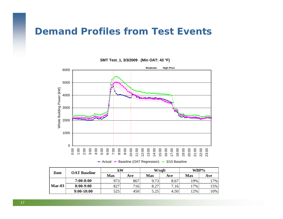

**SMT Test\_1, 3/3/2009 (Min OAT: 43 °F)**

Actual Baseline (OAT Regression) 3/10 Baseline

| Date     | <b>OAT Baseline</b> | kW  |     |            | W/sqft | WBP%       |     |  |
|----------|---------------------|-----|-----|------------|--------|------------|-----|--|
|          |                     | Max | Ave | <b>Max</b> | Ave    | <b>Max</b> | Ave |  |
|          | $7:00 - 8:00$       | 973 | 867 | 9.73       | 8.67   | 19%        | 17% |  |
| $Mar-03$ | 8:00-9:00           | 827 | 716 | 8.27       | 7.16   | $17\%$     | 5%  |  |
|          | $9:00-10:00$        | 525 | 450 | 5.25       | 4.50   | 12%        | 10% |  |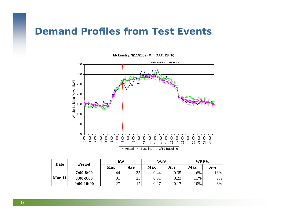

#### **Mckinstry, 3/11/2009 (Min OAT: 28 °F)**

|          | <b>Period</b> | kW         |                | W/ft <sup>2</sup> |            | WBP%       |       |  |
|----------|---------------|------------|----------------|-------------------|------------|------------|-------|--|
| Date     |               | <b>Max</b> | Ave            | <b>Max</b>        | <b>Ave</b> | <b>Max</b> | Ave   |  |
|          | $7:00 - 8:00$ |            | 35             | 0.44              | 0.35       | 16%        | 3%    |  |
| $Mar-11$ | $8:00-9:00$   |            | 23             | 0.31              |            | 1%         | 9%    |  |
|          | $9:00-10:00$  |            | $\overline{ }$ | $0.27\,$          | 0.17       | 10%        | $6\%$ |  |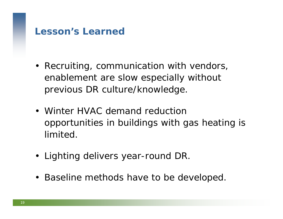## **Lesson's Learned**

- Recruiting, communication with vendors, enablement are slow especially without previous DR culture/knowledge.
- Winter HVAC demand reduction opportunities in buildings with gas heating is limited.
- Lighting delivers year-round DR.
- Baseline methods have to be developed.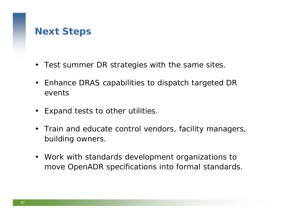# **Next Steps**

- Test summer DR strategies with the same sites.
- $\bullet$  Enhance DRAS capabilities to dispatch targeted DR events
- $\bullet$ Expand tests to other utilities.
- $\bullet$  Train and educate control vendors, facility managers, building owners.
- Work with standards development organizations to move OpenADR specifications into formal standards.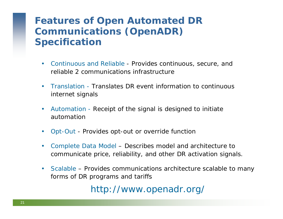# **Features of Open Automated DR Communications (OpenADR) Specification**

- Continuous and Reliable Provides continuous, secure, and reliable 2 communications infrastructure
- $\bullet$  Translation - Translates DR event information to continuous internet signals
- Automation Receipt of the signal is designed to initiate automation
- •Opt-Out - Provides opt-out or override function
- • Complete Data Model – Describes model and architecture to communicate price, reliability, and other DR activation signals.
- Scalable Provides communications architecture scalable to many forms of DR programs and tariffs

http://www.openadr.org/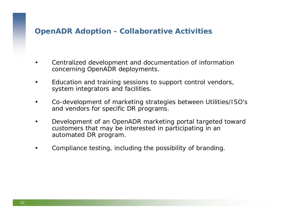#### **OpenADR Adoption - Collaborative Activities**

- • Centralized development and documentation of information concerning OpenADR deployments.
- • Education and training sessions to support control vendors, system integrators and facilities.
- • Co-development of marketing strategies between Utilities/ISO's and vendors for specific DR programs.
- • Development of an OpenADR marketing portal targeted toward customers that may be interested in participating in an automated DR program.
- •Compliance testing, including the possibility of branding.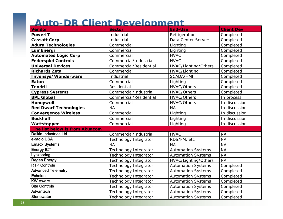#### **Auto-DR Client Development**

| <b>Vendor</b>                  | <b>Sector</b>                | <b>End-Use</b>            | <b>Client Dev</b> |
|--------------------------------|------------------------------|---------------------------|-------------------|
| <b>PowerIT</b>                 | Industrial                   | Refrigeration             | Completed         |
| <b>Cassatt Corp</b>            | Industrial                   | Data Center Servers       | Completed         |
| <b>Adura Technologies</b>      | Commercial                   | Lighting                  | Completed         |
| LumEnergi                      | Commercial                   | Lighting                  | Completed         |
| <b>Automated Logic Corp</b>    | Commercial                   | <b>HVAC</b>               | Completed         |
| <b>Federspiel Controls</b>     | Commercial/Industrial        | <b>HVAC</b>               | Completed         |
| <b>Universal Devices</b>       | Commercial/Residential       | HVAC/Lighting/Others      | Completed         |
| <b>Richards Zeta</b>           | Commercial                   | HVAC/Lighting             | Completed         |
| Invensys/Wonderware            | Industrial                   | <b>SCADA/HMI</b>          | Completed         |
| Eaton                          | Commercial                   | Lighting                  | Completed         |
| <b>Tendril</b>                 | Residential                  | <b>HVAC/Others</b>        | Completed         |
| <b>Cypress Systems</b>         | Commercial/Industrial        | <b>HVAC/Others</b>        | Completed         |
| <b>BPL Global</b>              | Commercial/Residential       | <b>HVAC/Others</b>        | In process        |
| Honeywell                      | Commercial                   | <b>HVAC/Others</b>        | In discussion     |
| <b>Red Dwarf Technologies</b>  | <b>NA</b>                    | <b>NA</b>                 | In discussion     |
| <b>Convergence Wireless</b>    | Commercial                   | Lighting                  | In discussion     |
| <b>Beckhoff</b>                | Commercial                   | Lighting                  | In discussion     |
| Wattstopper                    | Commercial                   | Lighting                  | In discussion     |
| The list below is from Akuacom |                              |                           |                   |
| <b>Daikin Industries Ltd</b>   | Commercial/Industrial        | <b>HVAC</b>               | <b>NA</b>         |
| e-radio USA                    | Technology Integrator        | RDS/FM, etc               | <b>NA</b>         |
| <b>Emacx Systems</b>           | <b>NA</b>                    | <b>NA</b>                 | <b>NA</b>         |
| <b>Energy ICT</b>              | Technology Integrator        | <b>Automation Systems</b> | <b>NA</b>         |
| Lynxspring                     | Technology Integrator        | <b>Automation Systems</b> | <b>NA</b>         |
| <b>Regen Energy</b>            | Technology Integrator        | HVAC/Lighting/Others      | <b>NA</b>         |
| <b>RTP Controls</b>            | Technology Integrator        | <b>Automation Systems</b> | Completed         |
| <b>Advanced Telemetry</b>      | Technology Integrator        | <b>Automation Systems</b> | Completed         |
| Echelon                        | <b>Technology Integrator</b> | <b>Automation Systems</b> | Completed         |
| <b>KW Aware</b>                | Technology Integrator        | <b>Automation Systems</b> | Completed         |
| <b>Site Controls</b>           | Technology Integrator        | <b>Automation Systems</b> | Completed         |
| Advantech                      | <b>Technology Integrator</b> | <b>Automation Systems</b> | Completed         |
| <b>Stonewater</b>              | <b>Technology Integrator</b> | <b>Automation Systems</b> | Completed         |